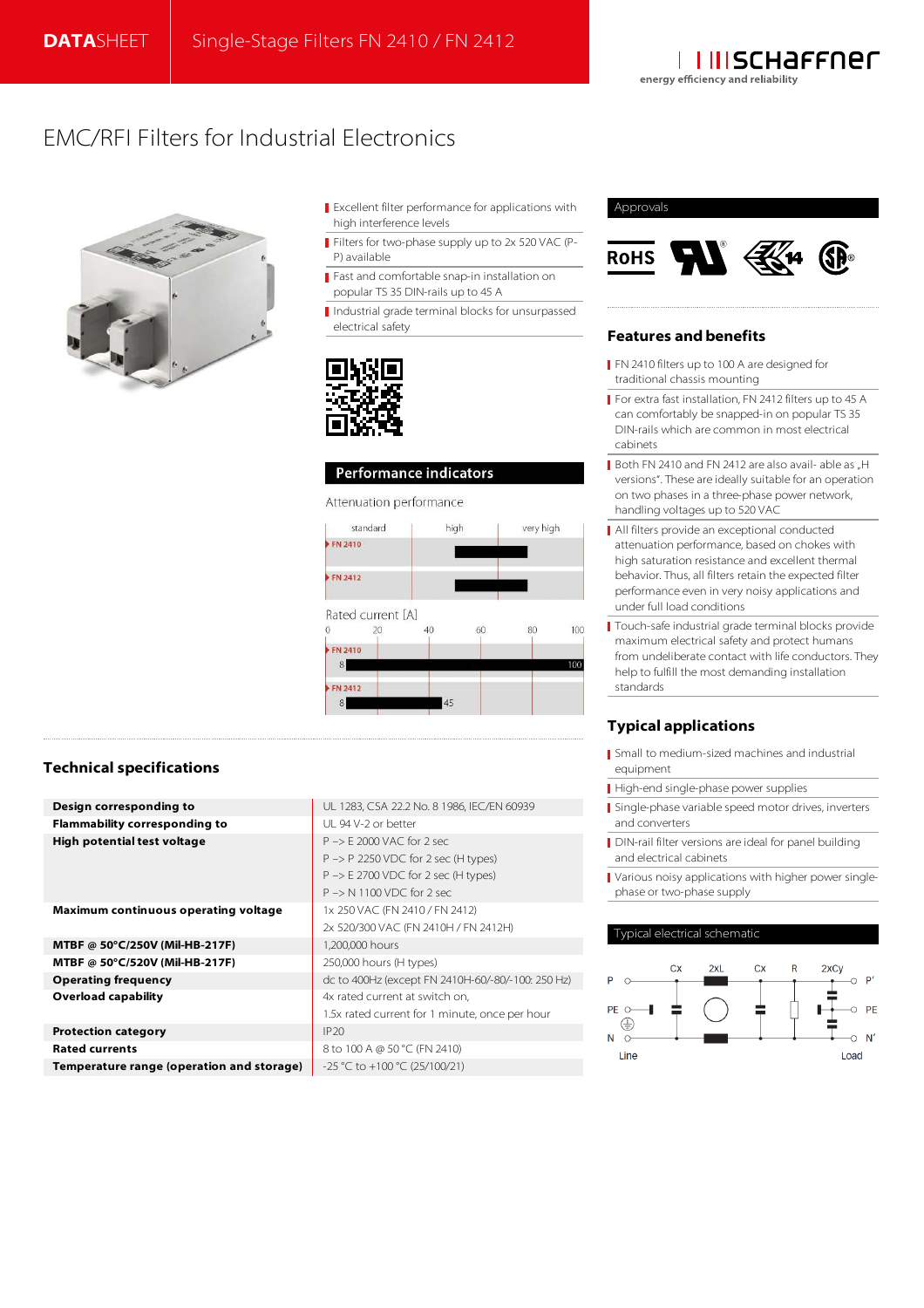

# EMC/RFI Filters for Industrial Electronics



- Excellent filter performance for applications with high interference levels
- Filters for two-phase supply up to 2x 520 VAC (P-P) available
- Fast and comfortable snap-in installation on popular TS 35 DIN-rails up to 45 A
- Industrial grade terminal blocks for unsurpassed electrical safety



# Performance indicators

## Attenuation performance



# Approvals



# **Features and benefits**

- FN 2410 filters up to 100 A are designed for traditional chassis mounting
- For extra fast installation, FN 2412 filters up to 45 A can comfortably be snapped-in on popular TS 35 DIN-rails which are common in most electrical cabinets
- Both FN 2410 and FN 2412 are also avail- able as "H versions". These are ideally suitable for an operation on two phases in a three-phase power network, handling voltages up to 520 VAC
- All filters provide an exceptional conducted attenuation performance, based on chokes with high saturation resistance and excellent thermal behavior. Thus, all filters retain the expected filter performance even in very noisy applications and under full load conditions
- Touch-safe industrial grade terminal blocks provide maximum electrical safety and protect humans from undeliberate contact with life conductors. They help to fulfill the most demanding installation standards

# **Typical applications**

- Small to medium-sized machines and industrial equipment
- High-end single-phase power supplies
- Single-phase variable speed motor drives, inverters and converters
- DIN-rail filter versions are ideal for panel building and electrical cabinets
- Various noisy applications with higher power singlephase or two-phase supply

## Typical electrical schematic



# **Technical specifications**

| Design corresponding to                   | UL 1283, CSA 22.2 No. 8 1986, IEC/EN 60939        |
|-------------------------------------------|---------------------------------------------------|
| <b>Flammability corresponding to</b>      | UL 94 V-2 or better                               |
| <b>High potential test voltage</b>        | $P \rightarrow F$ 2000 VAC for 2 sec.             |
|                                           | $P \rightarrow P$ 2250 VDC for 2 sec (H types)    |
|                                           | $P \rightarrow E$ 2700 VDC for 2 sec (H types)    |
|                                           | $P \rightarrow N 1100 VDC$ for 2 sec.             |
| Maximum continuous operating voltage      | 1x 250 VAC (FN 2410 / FN 2412)                    |
|                                           | 2x 520/300 VAC (FN 2410H / FN 2412H)              |
| MTBF @ 50°C/250V (Mil-HB-217F)            | 1,200,000 hours                                   |
| MTBF @ 50°C/520V (Mil-HB-217F)            | 250,000 hours (H types)                           |
| <b>Operating frequency</b>                | dc to 400Hz (except FN 2410H-60/-80/-100: 250 Hz) |
| <b>Overload capability</b>                | 4x rated current at switch on.                    |
|                                           | 1.5x rated current for 1 minute, once per hour    |
| <b>Protection category</b>                | IP20                                              |
| <b>Rated currents</b>                     | 8 to 100 A @ 50 °C (FN 2410)                      |
| Temperature range (operation and storage) | $-25$ °C to $+100$ °C (25/100/21)                 |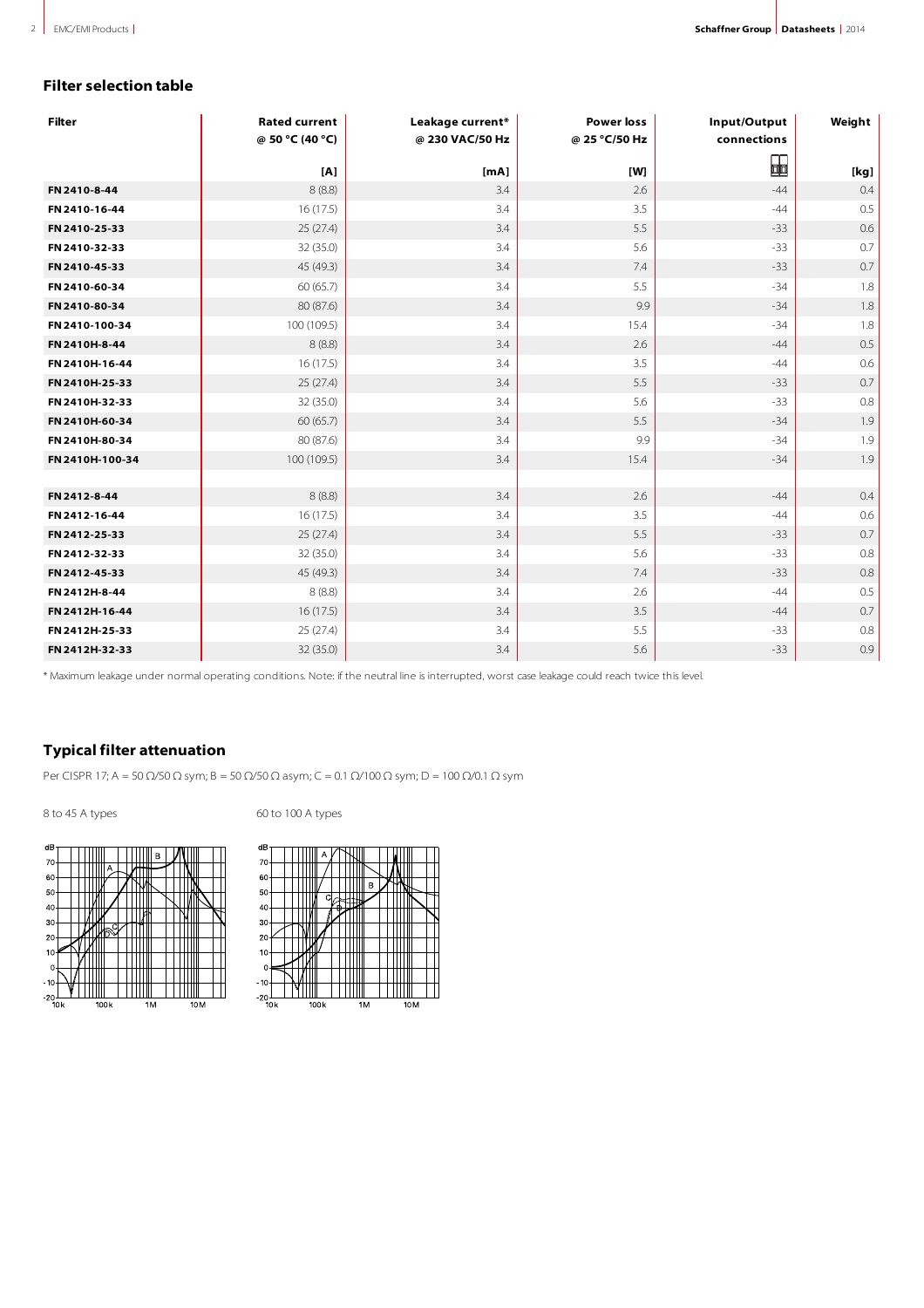# **Filter selection table**

| <b>Filter</b>   | <b>Rated current</b><br>@ 50 °C (40 °C) | Leakage current*<br>@ 230 VAC/50 Hz | <b>Power loss</b><br>@ 25 °C/50 Hz | Input/Output<br>connections | Weight |
|-----------------|-----------------------------------------|-------------------------------------|------------------------------------|-----------------------------|--------|
|                 |                                         |                                     |                                    | ⊞                           |        |
|                 | [A]                                     | [mA]                                | [W]                                |                             | [kg]   |
| FN 2410-8-44    | 8(8.8)                                  | 3.4                                 | 2.6                                | $-44$                       | 0.4    |
| FN 2410-16-44   | 16(17.5)                                | 3.4                                 | 3.5                                | $-44$                       | 0.5    |
| FN 2410-25-33   | 25(27.4)                                | 3.4                                 | 5.5                                | $-33$                       | 0.6    |
| FN 2410-32-33   | 32 (35.0)                               | 3.4                                 | 5.6                                | $-33$                       | 0.7    |
| FN 2410-45-33   | 45 (49.3)                               | 3.4                                 | 7.4                                | $-33$                       | 0.7    |
| FN 2410-60-34   | 60 (65.7)                               | 3.4                                 | 5.5                                | $-34$                       | 1.8    |
| FN 2410-80-34   | 80 (87.6)                               | 3.4                                 | 9.9                                | $-34$                       | 1.8    |
| FN 2410-100-34  | 100(109.5)                              | 3.4                                 | 15.4                               | $-34$                       | 1.8    |
| FN 2410H-8-44   | 8(8.8)                                  | 3.4                                 | 2.6                                | $-44$                       | 0.5    |
| FN 2410H-16-44  | 16(17.5)                                | 3.4                                 | 3.5                                | $-44$                       | 0.6    |
| FN 2410H-25-33  | 25(27.4)                                | 3.4                                 | 5.5                                | $-33$                       | 0.7    |
| FN 2410H-32-33  | 32 (35.0)                               | 3.4                                 | 5.6                                | $-33$                       | 0.8    |
| FN 2410H-60-34  | 60 (65.7)                               | 3.4                                 | 5.5                                | $-34$                       | 1.9    |
| FN 2410H-80-34  | 80 (87.6)                               | 3.4                                 | 9.9                                | $-34$                       | 1.9    |
| FN 2410H-100-34 | 100 (109.5)                             | 3.4                                 | 15.4                               | $-34$                       | 1.9    |
|                 |                                         |                                     |                                    |                             |        |
| FN 2412-8-44    | 8(8.8)                                  | 3.4                                 | 2.6                                | $-44$                       | 0.4    |
| FN 2412-16-44   | 16(17.5)                                | 3.4                                 | 3.5                                | $-44$                       | 0.6    |
| FN 2412-25-33   | 25(27.4)                                | 3.4                                 | 5.5                                | $-33$                       | 0.7    |
| FN 2412-32-33   | 32 (35.0)                               | 3.4                                 | 5.6                                | $-33$                       | 0.8    |
| FN 2412-45-33   | 45 (49.3)                               | 3.4                                 | 7.4                                | $-33$                       | 0.8    |
| FN 2412H-8-44   | 8(8.8)                                  | 3.4                                 | 2.6                                | $-44$                       | 0.5    |
| FN 2412H-16-44  | 16(17.5)                                | 3.4                                 | 3.5                                | $-44$                       | 0.7    |
| FN 2412H-25-33  | 25 (27.4)                               | 3.4                                 | 5.5                                | $-33$                       | 0.8    |
| FN 2412H-32-33  | 32 (35.0)                               | 3.4                                 | 5.6                                | $-33$                       | 0.9    |

\* Maximum leakage under normal operating conditions. Note: if the neutral line is interrupted, worst case leakage could reach twice this level.

# **Typical filter attenuation**

Per CISPR 17; A = 50 Ω/50 Ω sym; B = 50 Ω/50 Ω asym; C = 0.1 Ω/100 Ω sym; D = 100 Ω/0.1 Ω sym

8 to 45 A types 60 to 100 A types



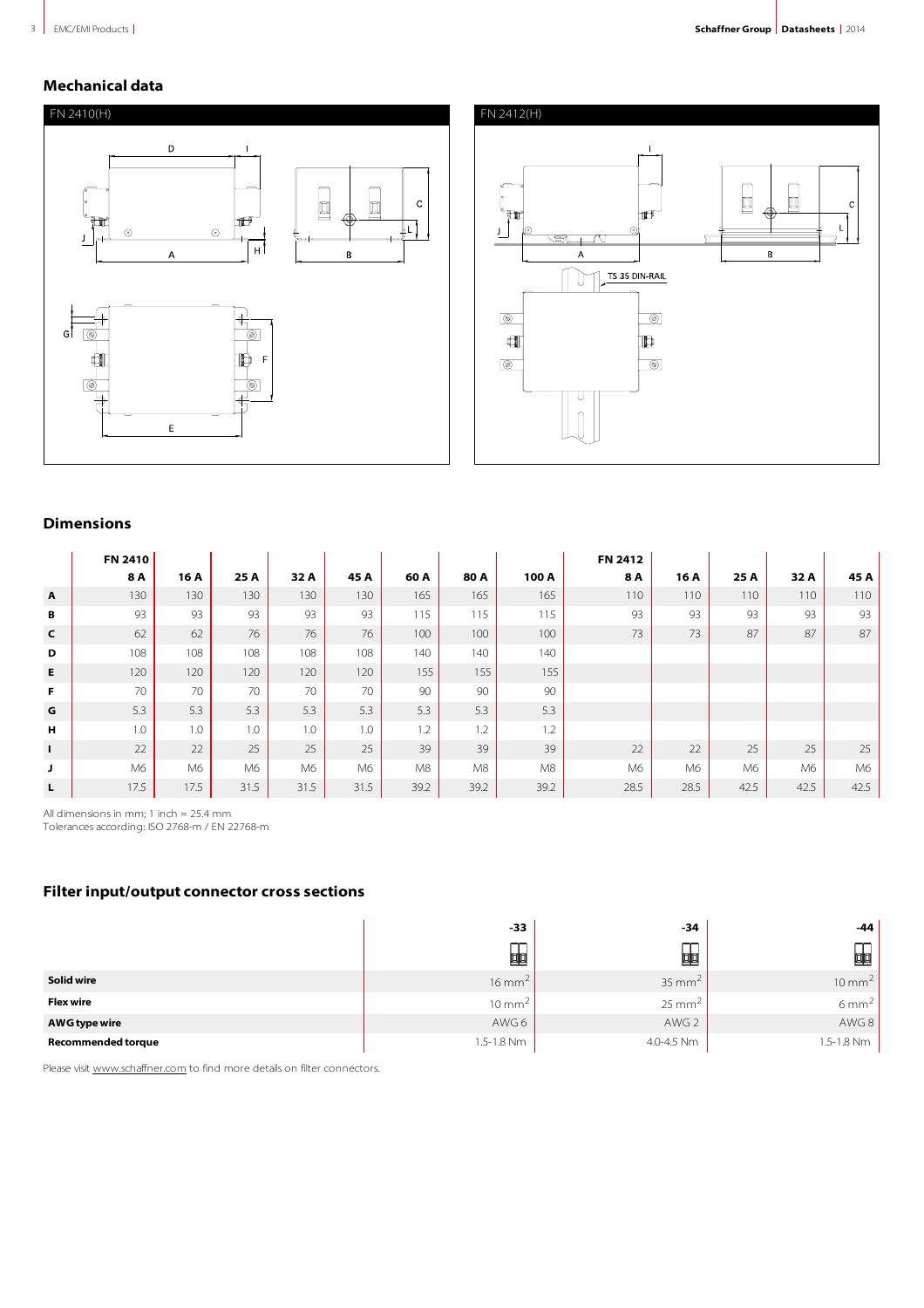# **Mechanical data**





# **Dimensions**

|                           | FN 2410 |      |      |      |      |      |      |       | FN 2412 |      |      |      |      |
|---------------------------|---------|------|------|------|------|------|------|-------|---------|------|------|------|------|
|                           | 8 A     | 16 A | 25 A | 32 A | 45 A | 60 A | 80 A | 100 A | 8 A     | 16 A | 25 A | 32 A | 45 A |
| $\boldsymbol{\mathsf{A}}$ | 130     | 130  | 130  | 130  | 130  | 165  | 165  | 165   | 110     | 110  | 110  | 110  | 110  |
| В                         | 93      | 93   | 93   | 93   | 93   | 115  | 115  | 115   | 93      | 93   | 93   | 93   | 93   |
| $\mathsf{C}$              | 62      | 62   | 76   | 76   | 76   | 100  | 100  | 100   | 73      | 73   | 87   | 87   | 87   |
| D                         | 108     | 108  | 108  | 108  | 108  | 140  | 140  | 140   |         |      |      |      |      |
| E                         | 120     | 120  | 120  | 120  | 120  | 155  | 155  | 155   |         |      |      |      |      |
| F                         | 70      | 70   | 70   | 70   | 70   | 90   | 90   | 90    |         |      |      |      |      |
| G                         | 5.3     | 5.3  | 5.3  | 5.3  | 5.3  | 5.3  | 5.3  | 5.3   |         |      |      |      |      |
| H                         | 1.0     | 1.0  | 1.0  | 1.0  | 1.0  | 1.2  | 1.2  | 1.2   |         |      |      |      |      |
| $\mathbf{I}$              | 22      | 22   | 25   | 25   | 25   | 39   | 39   | 39    | 22      | 22   | 25   | 25   | 25   |
| J                         | M6      | M6   | M6   | M6   | M6   | M8   | M8   | M8    | M6      | M6   | M6   | M6   | M6   |
| L                         | 17.5    | 17.5 | 31.5 | 31.5 | 31.5 | 39.2 | 39.2 | 39.2  | 28.5    | 28.5 | 42.5 | 42.5 | 42.5 |

All dimensions in mm; 1 inch = 25.4 mm Tolerances according: ISO 2768-m / EN 22768-m

# **Filter input/output connector cross sections**

|                           | $-33$             | -34               | $-44$             |
|---------------------------|-------------------|-------------------|-------------------|
|                           | ∼<br>蛔            | 呬                 | 叩                 |
| Solid wire                | $16 \text{ mm}^2$ | $35 \text{ mm}^2$ | $10 \text{ mm}^2$ |
| <b>Flex wire</b>          | $10 \text{ mm}^2$ | $25 \text{ mm}^2$ | $6 \text{ mm}^2$  |
| AWG type wire             | AWG 6             | AWG 2             | AWG 8             |
| <b>Recommended torque</b> | 1.5-1.8 Nm        | 4.0-4.5 Nm        | 1.5-1.8 Nm        |

Please visit www.schaffner.com to find more details on filter connectors.